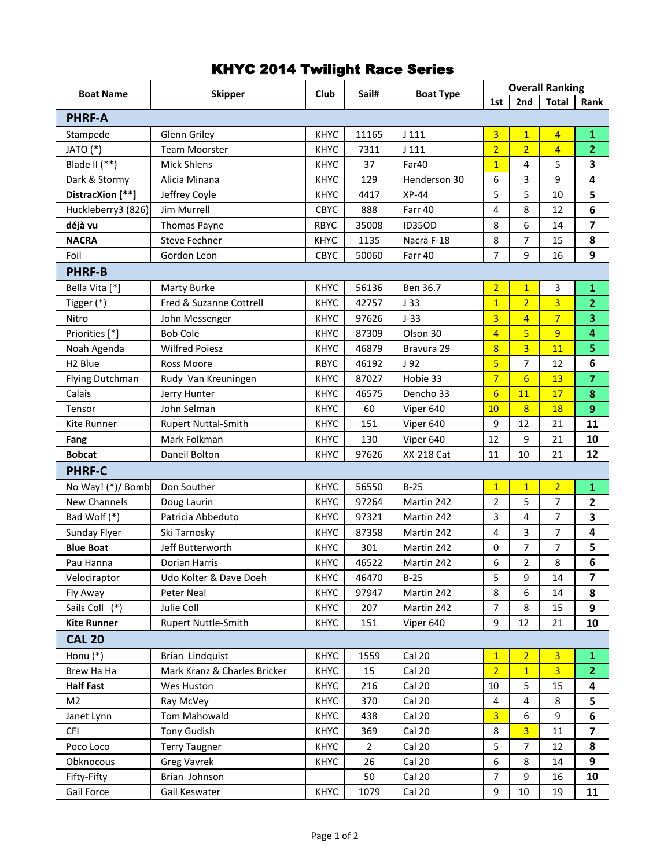## KHYC 2014 Twilight Race Series

| <b>Boat Name</b>    | <b>Skipper</b>               | Club        | Sail#          | <b>Boat Type</b>  | <b>Overall Ranking</b> |                 |                |                         |  |  |
|---------------------|------------------------------|-------------|----------------|-------------------|------------------------|-----------------|----------------|-------------------------|--|--|
|                     |                              |             |                |                   | 1st                    | 2nd             | <b>Total</b>   | Rank                    |  |  |
| <b>PHRF-A</b>       |                              |             |                |                   |                        |                 |                |                         |  |  |
| Stampede            | Glenn Griley                 | <b>KHYC</b> | 11165          | J 111             | 3                      | $\overline{1}$  | $\overline{4}$ | $\mathbf{1}$            |  |  |
| JATO (*)            | <b>Team Moorster</b>         | <b>KHYC</b> | 7311           | J111              | $\overline{2}$         | $\overline{2}$  | $\overline{4}$ | $\overline{2}$          |  |  |
| Blade II (**)       | <b>Mick Shlens</b>           | <b>KHYC</b> | 37             | Far40             | $\overline{1}$         | 4               | 5              | 3                       |  |  |
| Dark & Stormy       | Alicia Minana                | <b>KHYC</b> | 129            | Henderson 30      | 6                      | 3               | 9              | 4                       |  |  |
| DistracXion [**]    | Jeffrey Coyle                | <b>KHYC</b> | 4417           | $XP-44$           | 5                      | 5               | 10             | 5                       |  |  |
| Huckleberry3 (826)  | <b>Jim Murrell</b>           | CBYC        | 888            | Farr 40           | 4                      | 8               | 12             | 6                       |  |  |
| déjà vu             | Thomas Payne                 | <b>RBYC</b> | 35008          | <b>ID35OD</b>     | 8                      | 6               | 14             | 7                       |  |  |
| <b>NACRA</b>        | <b>Steve Fechner</b>         | <b>KHYC</b> | 1135           | Nacra F-18        | 8                      | 7               | 15             | 8                       |  |  |
| Foil                | Gordon Leon                  | <b>CBYC</b> | 50060          | Farr 40           | 7                      | 9               | 16             | 9                       |  |  |
| <b>PHRF-B</b>       |                              |             |                |                   |                        |                 |                |                         |  |  |
| Bella Vita [*]      | Marty Burke                  | <b>KHYC</b> | 56136          | Ben 36.7          | $\overline{2}$         | $\overline{1}$  | 3              | 1                       |  |  |
| Tigger (*)          | Fred & Suzanne Cottrell      | <b>KHYC</b> | 42757          | J33               | $\overline{1}$         | $\overline{2}$  | 3              | $\overline{2}$          |  |  |
| Nitro               | John Messenger               | <b>KHYC</b> | 97626          | $J-33$            | 3                      | $\overline{4}$  | $\overline{7}$ | 3                       |  |  |
| Priorities [*]      | <b>Bob Cole</b>              | <b>KHYC</b> | 87309          | Olson 30          | $\overline{4}$         | 5               | 9              | 4                       |  |  |
| Noah Agenda         | <b>Wilfred Poiesz</b>        | <b>KHYC</b> | 46879          | Bravura 29        | 8                      | 3               | 11             | 5                       |  |  |
| H <sub>2</sub> Blue | Ross Moore                   | <b>RBYC</b> | 46192          | J <sub>92</sub>   | 5                      | $\overline{7}$  | 12             | 6                       |  |  |
| Flying Dutchman     | Rudy Van Kreuningen          | <b>KHYC</b> | 87027          | Hobie 33          | $\overline{7}$         | $6\overline{6}$ | 13             | $\overline{\mathbf{z}}$ |  |  |
| Calais              | Jerry Hunter                 | <b>KHYC</b> | 46575          | Dencho 33         | $6\overline{6}$        | 11              | 17             | 8                       |  |  |
| Tensor              | John Selman                  | <b>KHYC</b> | 60             | Viper 640         | 10                     | 8               | 18             | 9                       |  |  |
| Kite Runner         | <b>Rupert Nuttal-Smith</b>   | <b>KHYC</b> | 151            | Viper 640         | 9                      | 12              | 21             | 11                      |  |  |
| Fang                | Mark Folkman                 | <b>KHYC</b> | 130            | Viper 640         | 12                     | 9               | 21             | 10                      |  |  |
| <b>Bobcat</b>       | Daneil Bolton                | <b>KHYC</b> | 97626          | <b>XX-218 Cat</b> | 11                     | 10              | 21             | 12                      |  |  |
| <b>PHRF-C</b>       |                              |             |                |                   |                        |                 |                |                         |  |  |
| No Way! (*)/ Bomb   | Don Souther                  | <b>KHYC</b> | 56550          | $B-25$            | $\overline{1}$         | $\overline{1}$  | $\overline{2}$ | $\mathbf{1}$            |  |  |
| New Channels        | Doug Laurin                  | <b>KHYC</b> | 97264          | Martin 242        | $\overline{2}$         | 5               | 7              | $\mathbf{2}$            |  |  |
| Bad Wolf (*)        | Patricia Abbeduto            | <b>KHYC</b> | 97321          | Martin 242        | 3                      | 4               | 7              | 3                       |  |  |
| Sunday Flyer        | Ski Tarnosky                 | <b>KHYC</b> | 87358          | Martin 242        | 4                      | 3               | 7              | 4                       |  |  |
| <b>Blue Boat</b>    | Jeff Butterworth             | <b>KHYC</b> | 301            | Martin 242        | 0                      | 7               | 7              | 5                       |  |  |
| Pau Hanna           | Dorian Harris                | <b>KHYC</b> | 46522          | Martin 242        | 6                      | $\overline{2}$  | 8              | 6                       |  |  |
| Velociraptor        | Udo Kolter & Dave Doeh       | <b>KHYC</b> | 46470          | $B-25$            | 5                      | 9               | 14             | 7                       |  |  |
| Fly Away            | Peter Neal                   | <b>KHYC</b> | 97947          | Martin 242        | 8                      | 6               | 14             | 8                       |  |  |
| Sails Coll (*)      | Julie Coll                   | <b>KHYC</b> | 207            | Martin 242        | 7                      | 8               | 15             | 9                       |  |  |
| <b>Kite Runner</b>  | Rupert Nuttle-Smith          | <b>KHYC</b> | 151            | Viper 640         | 9                      | 12              | 21             | 10                      |  |  |
| <b>CAL 20</b>       |                              |             |                |                   |                        |                 |                |                         |  |  |
| Honu $(*)$          | Brian Lindquist              | <b>KHYC</b> | 1559           | Cal 20            | $\mathbf{1}$           | $\overline{2}$  | 3              | $\mathbf{1}$            |  |  |
| Brew Ha Ha          | Mark Kranz & Charles Bricker | <b>KHYC</b> | 15             | Cal 20            | $\overline{2}$         | $\overline{1}$  | $\overline{3}$ | $\overline{2}$          |  |  |
| <b>Half Fast</b>    | Wes Huston                   | <b>KHYC</b> | 216            | Cal 20            | 10                     | 5               | 15             | 4                       |  |  |
| M <sub>2</sub>      | Ray McVey                    | <b>KHYC</b> | 370            | Cal 20            | 4                      | 4               | 8              | 5                       |  |  |
| Janet Lynn          | Tom Mahowald                 | <b>KHYC</b> | 438            | Cal 20            | 3                      | 6               | 9              | 6                       |  |  |
| <b>CFI</b>          | <b>Tony Gudish</b>           | <b>KHYC</b> | 369            | Cal 20            | 8                      | 3               | 11             | $\overline{\mathbf{z}}$ |  |  |
| Poco Loco           | <b>Terry Taugner</b>         | <b>KHYC</b> | $\overline{2}$ | Cal 20            | 5                      | 7               | 12             | 8                       |  |  |
| Obknocous           | <b>Greg Vavrek</b>           | <b>KHYC</b> | 26             | Cal 20            | 6                      | 8               | 14             | 9                       |  |  |
| Fifty-Fifty         | Brian Johnson                |             | 50             | Cal 20            | 7                      | 9               | 16             | 10                      |  |  |
| Gail Force          | Gail Keswater                | <b>KHYC</b> | 1079           | Cal 20            | 9                      | $10\,$          | 19             | 11                      |  |  |